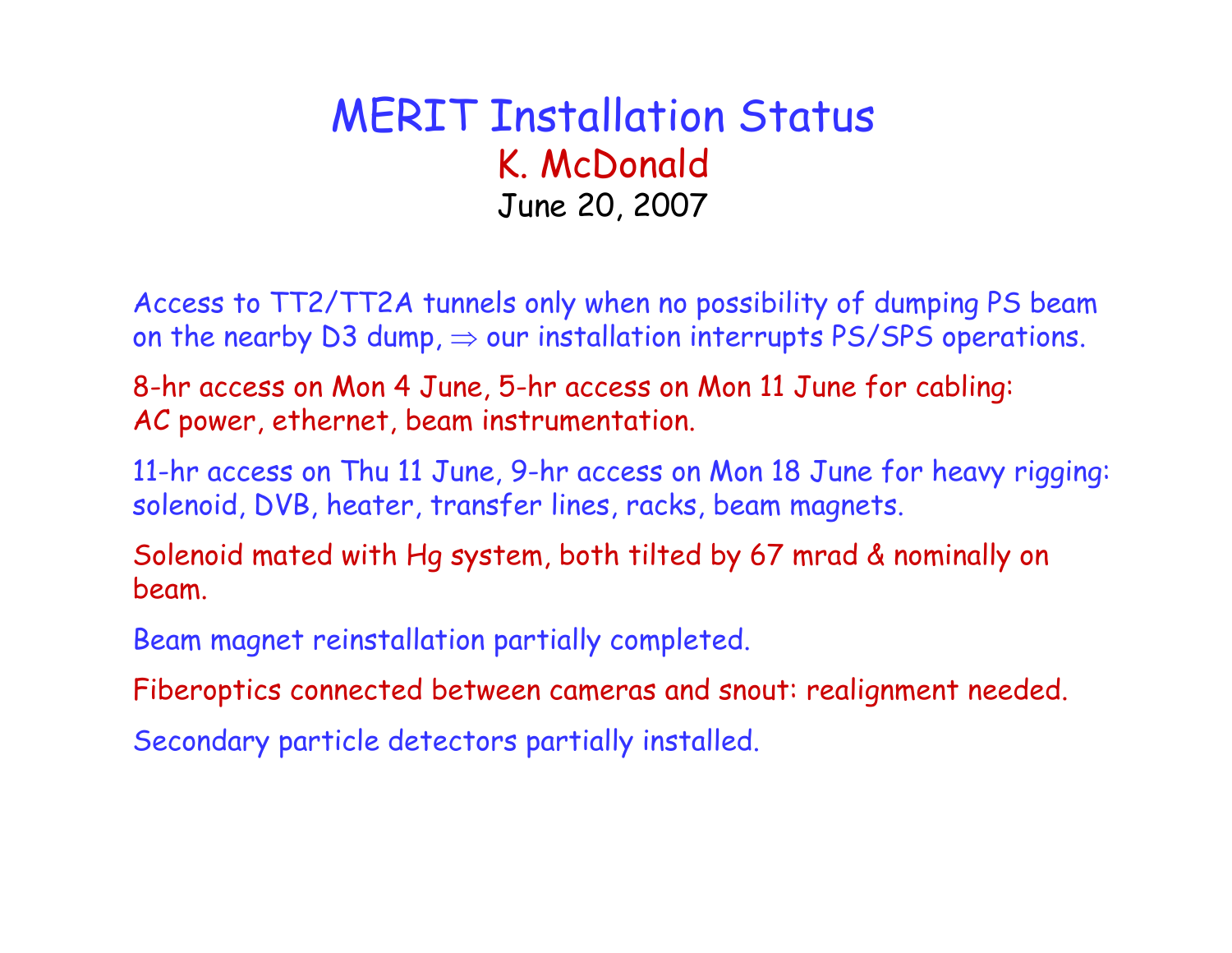#### MERIT Installation Status K. McDonald June 20, 2007

Access to TT2/TT2A tunnels only when no possibility of dumping PS beam on the nearby D3 dump,  $\Rightarrow$  our installation interrupts PS/SPS operations.

8-hr access on Mon 4 June, 5-hr access on Mon 11 June for cabling: AC power, ethernet, beam instrumentation.

11-hr access on Thu 11 June, 9-hr access on Mon 18 June for heavy rigging: solenoid, DVB, heater, transfer lines, racks, beam magnets.

Solenoid mated with Hg system, both tilted by 67 mrad & nominally on beam.

Beam magnet reinstallation partially completed.

Fiberoptics connected between cameras and snout: realignment needed.

Secondary particle detectors partially installed.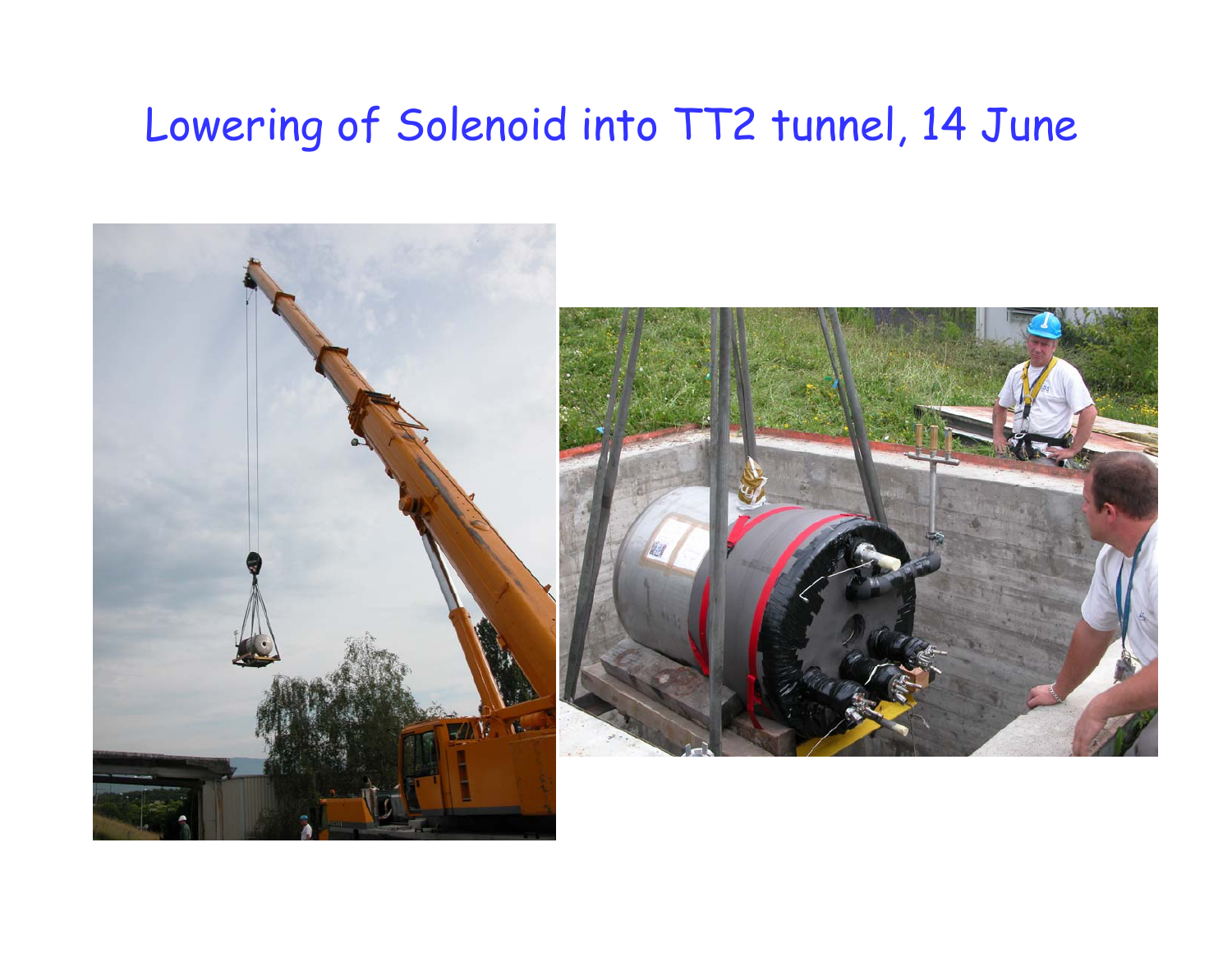# Lowering of Solenoid into TT2 tunnel, 14 June

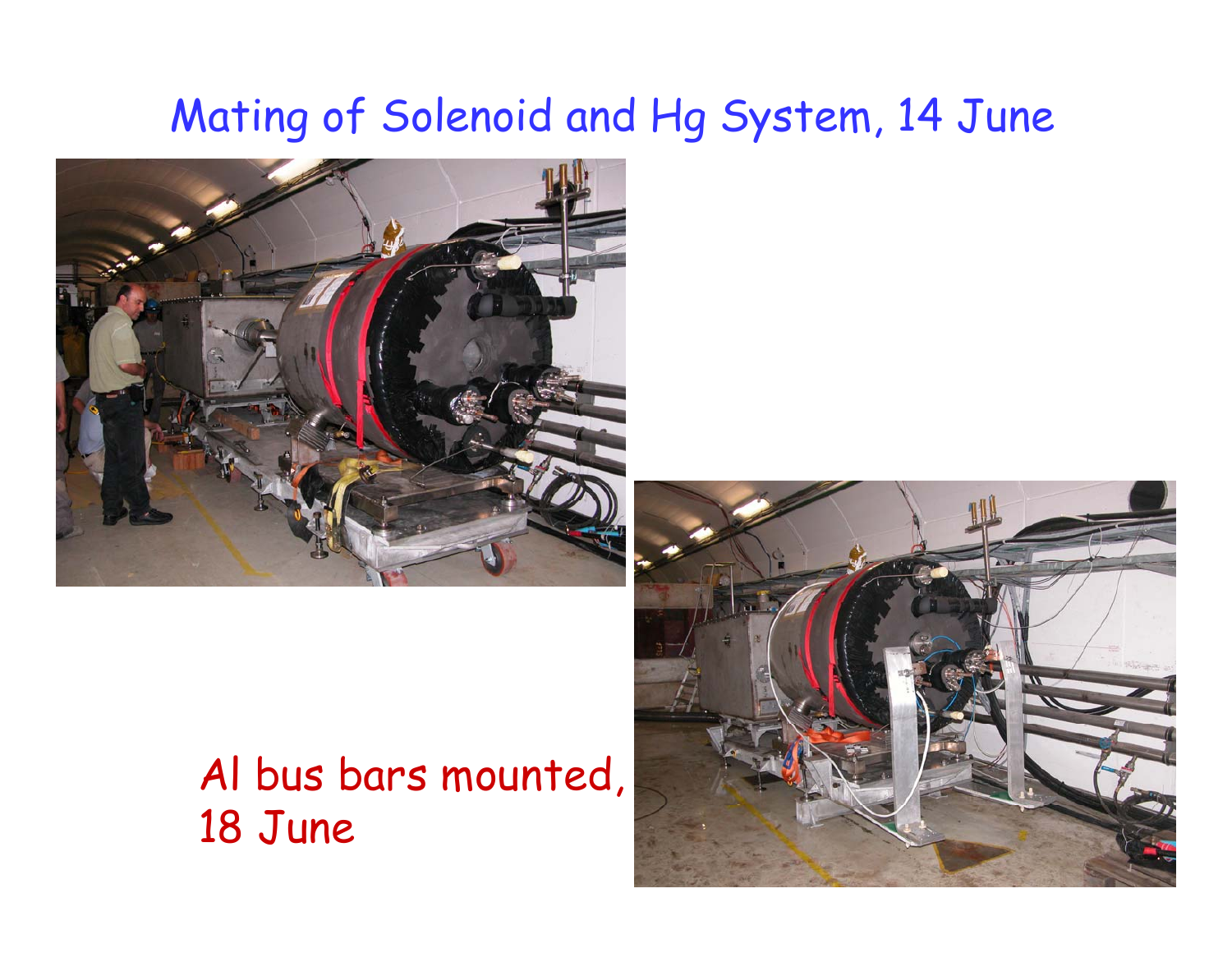# Mating of Solenoid and Hg System, 14 June



### Al bus bars mounted, 18 June

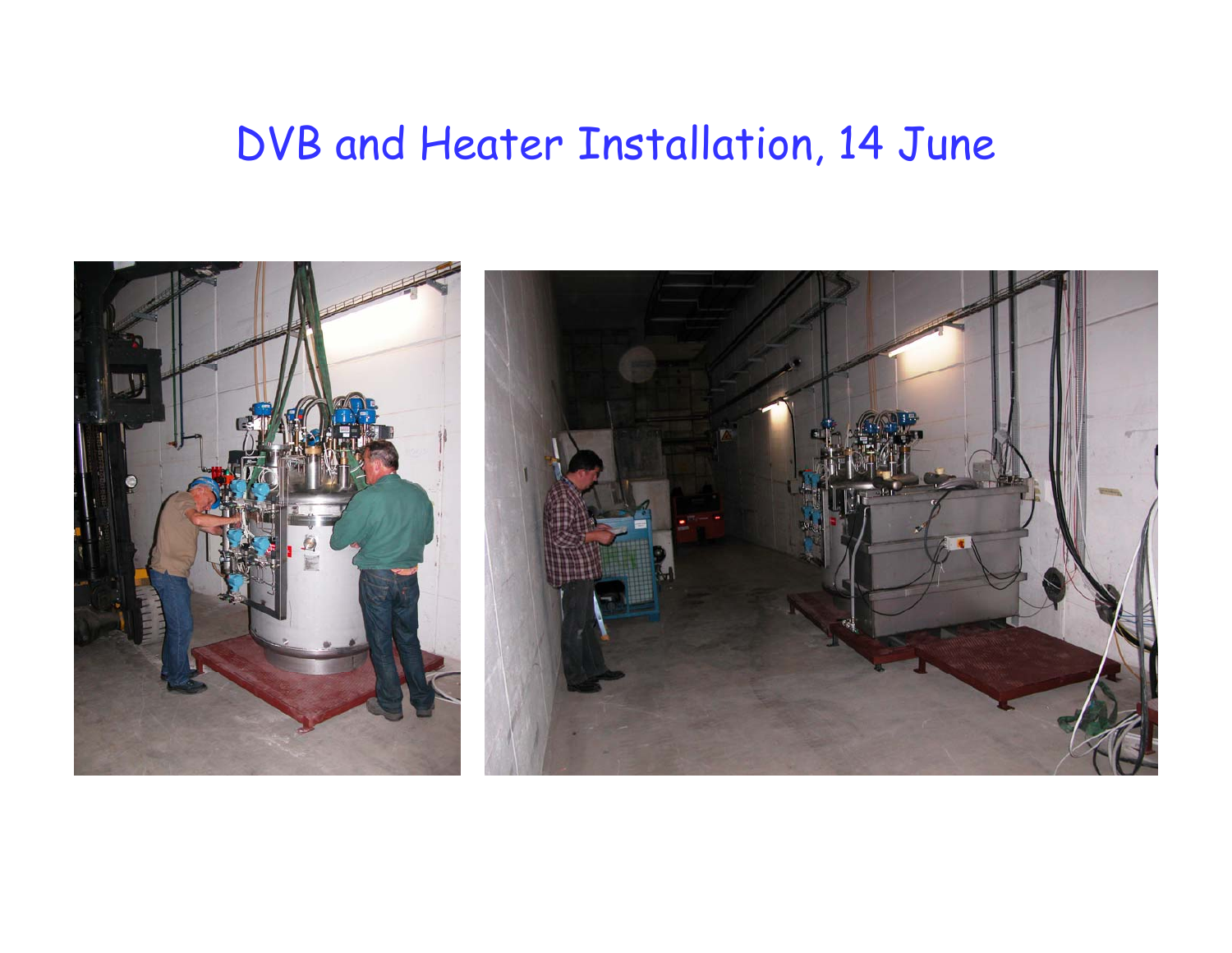### DVB and Heater Installation, 14 June

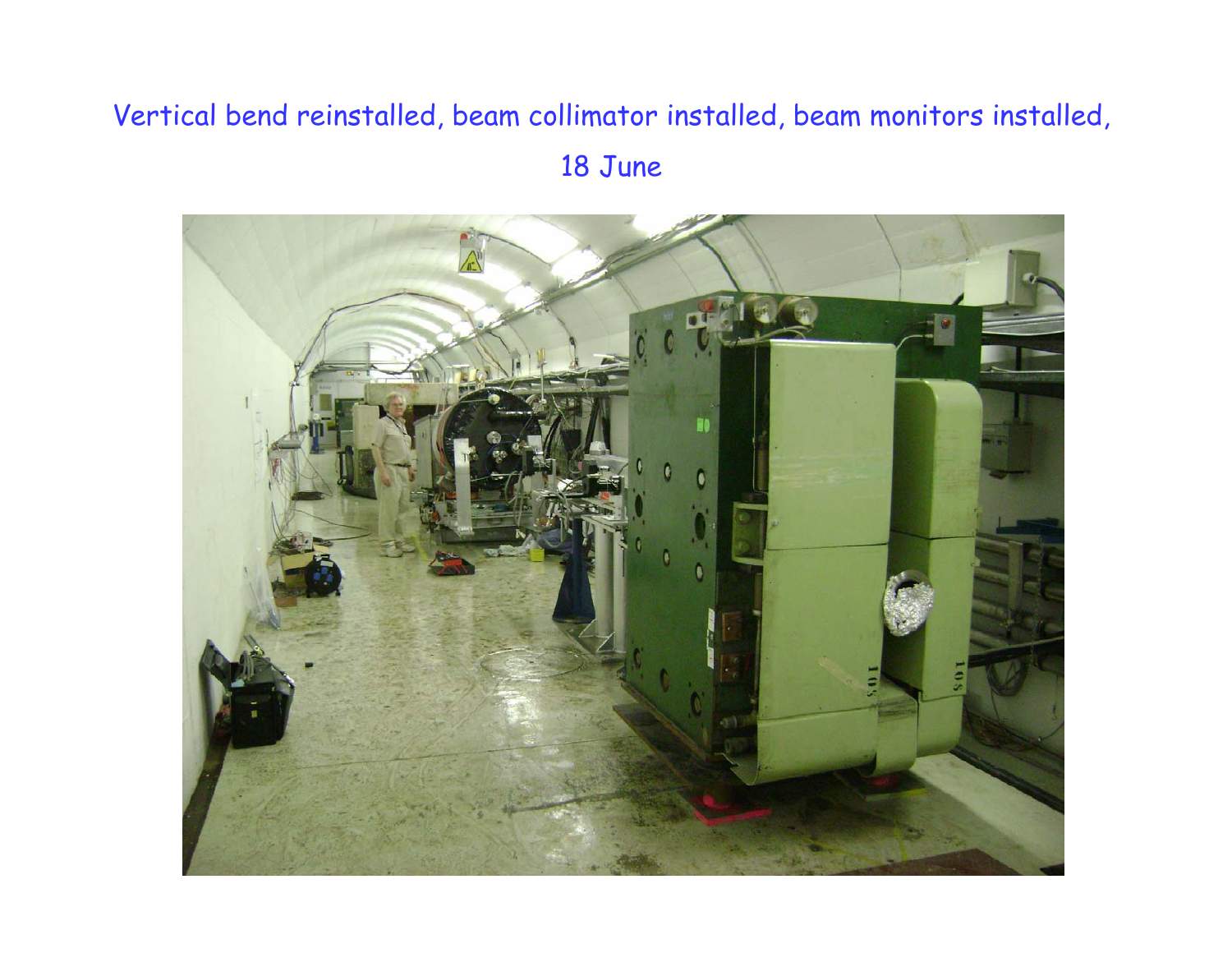#### Vertical bend reinstalled, beam collimator installed, beam monitors installed, 18 June

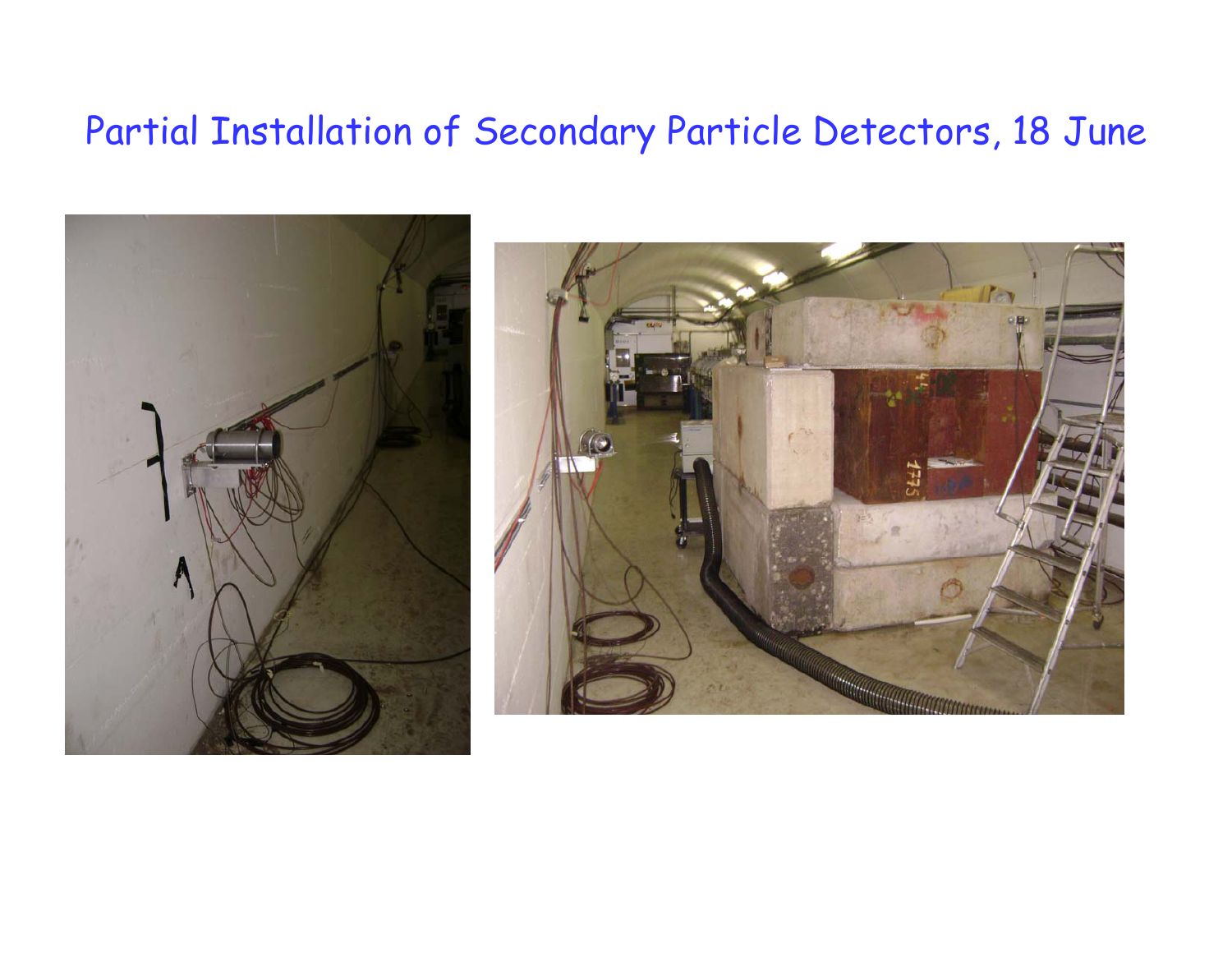#### Partial Installation of Secondary Particle Detectors, 18 June



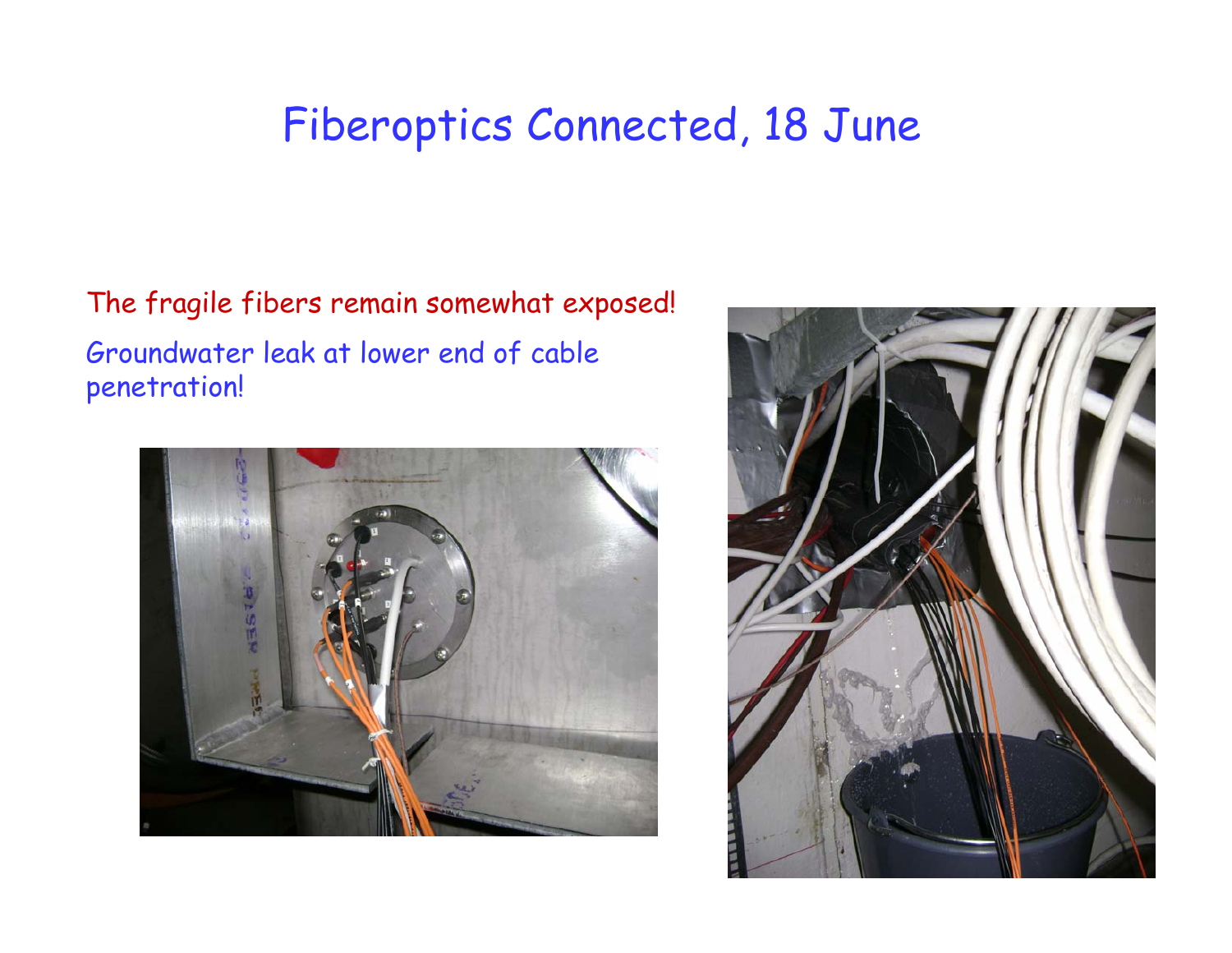## Fiberoptics Connected, 18 June

The fragile fibers remain somewhat exposed! Groundwater leak at lower end of cable penetration!



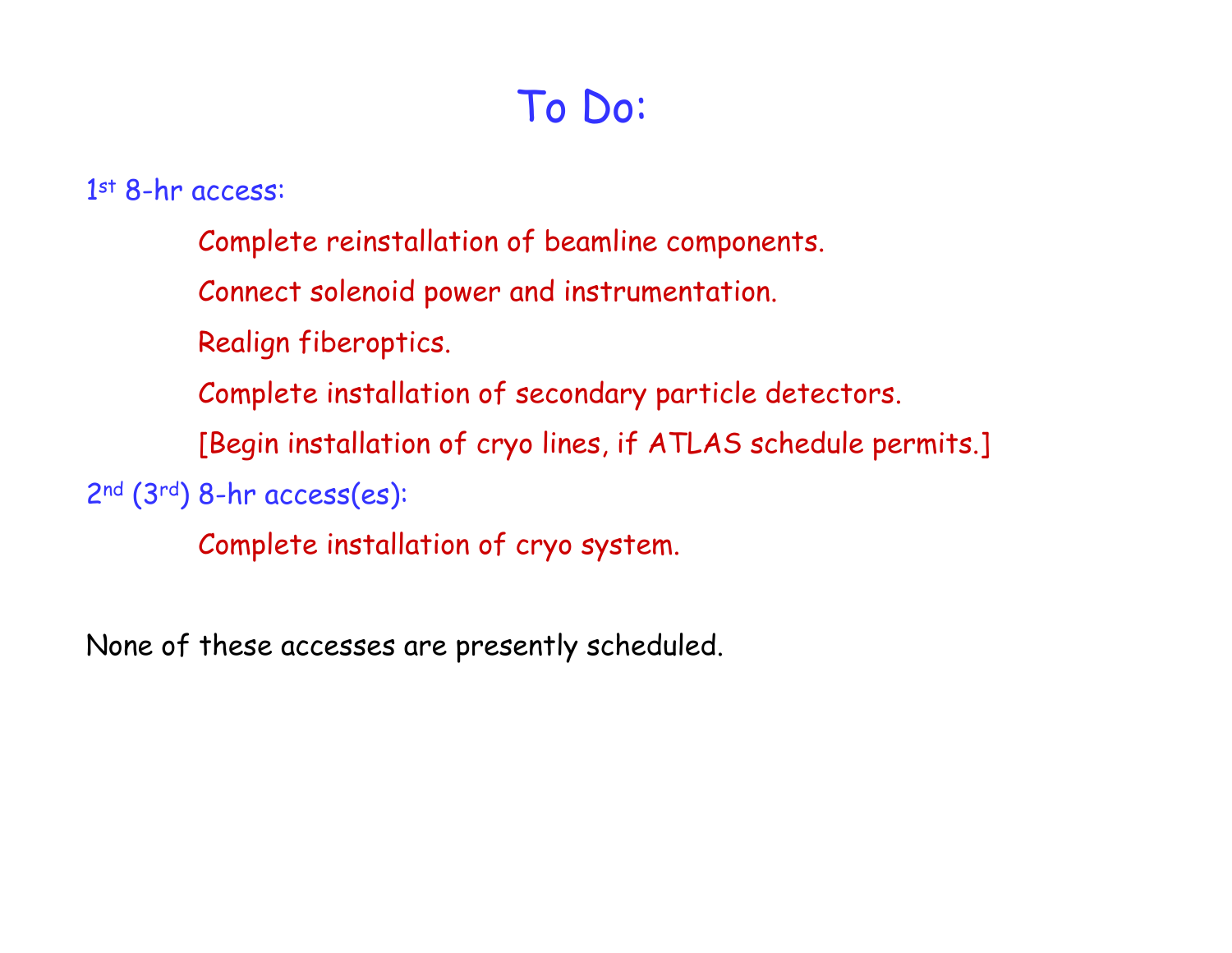## To Do:

1st 8-hr access:

Complete reinstallation of beamline components.

Connect solenoid power and instrumentation.

Realign fiberoptics.

Complete installation of secondary particle detectors.

[Begin installation of cryo lines, if ATLAS schedule permits.]

2nd (3rd) 8-hr access(es):

Complete installation of cryo system.

None of these accesses are presently scheduled.